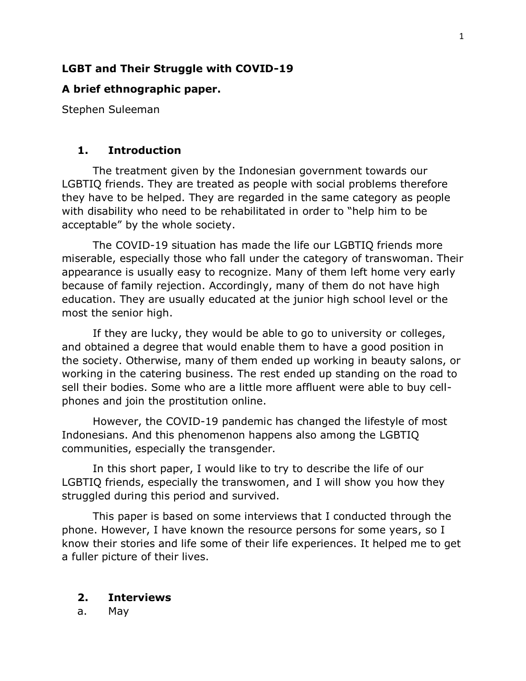# **LGBT and Their Struggle with COVID-19**

## **A brief ethnographic paper.**

Stephen Suleeman

### **1. Introduction**

The treatment given by the Indonesian government towards our LGBTIQ friends. They are treated as people with social problems therefore they have to be helped. They are regarded in the same category as people with disability who need to be rehabilitated in order to "help him to be acceptable" by the whole society.

The COVID-19 situation has made the life our LGBTIQ friends more miserable, especially those who fall under the category of transwoman. Their appearance is usually easy to recognize. Many of them left home very early because of family rejection. Accordingly, many of them do not have high education. They are usually educated at the junior high school level or the most the senior high.

If they are lucky, they would be able to go to university or colleges, and obtained a degree that would enable them to have a good position in the society. Otherwise, many of them ended up working in beauty salons, or working in the catering business. The rest ended up standing on the road to sell their bodies. Some who are a little more affluent were able to buy cellphones and join the prostitution online.

However, the COVID-19 pandemic has changed the lifestyle of most Indonesians. And this phenomenon happens also among the LGBTIQ communities, especially the transgender.

In this short paper, I would like to try to describe the life of our LGBTIQ friends, especially the transwomen, and I will show you how they struggled during this period and survived.

This paper is based on some interviews that I conducted through the phone. However, I have known the resource persons for some years, so I know their stories and life some of their life experiences. It helped me to get a fuller picture of their lives.

## **2. Interviews**

a. May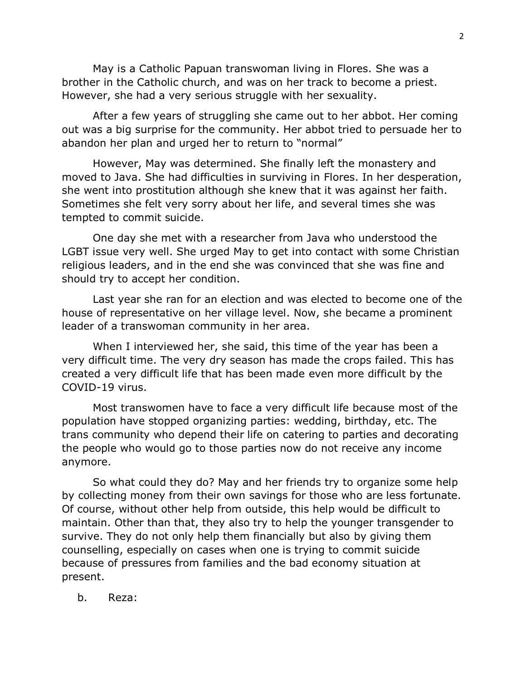May is a Catholic Papuan transwoman living in Flores. She was a brother in the Catholic church, and was on her track to become a priest. However, she had a very serious struggle with her sexuality.

After a few years of struggling she came out to her abbot. Her coming out was a big surprise for the community. Her abbot tried to persuade her to abandon her plan and urged her to return to "normal"

However, May was determined. She finally left the monastery and moved to Java. She had difficulties in surviving in Flores. In her desperation, she went into prostitution although she knew that it was against her faith. Sometimes she felt very sorry about her life, and several times she was tempted to commit suicide.

One day she met with a researcher from Java who understood the LGBT issue very well. She urged May to get into contact with some Christian religious leaders, and in the end she was convinced that she was fine and should try to accept her condition.

Last year she ran for an election and was elected to become one of the house of representative on her village level. Now, she became a prominent leader of a transwoman community in her area.

When I interviewed her, she said, this time of the year has been a very difficult time. The very dry season has made the crops failed. This has created a very difficult life that has been made even more difficult by the COVID-19 virus.

Most transwomen have to face a very difficult life because most of the population have stopped organizing parties: wedding, birthday, etc. The trans community who depend their life on catering to parties and decorating the people who would go to those parties now do not receive any income anymore.

So what could they do? May and her friends try to organize some help by collecting money from their own savings for those who are less fortunate. Of course, without other help from outside, this help would be difficult to maintain. Other than that, they also try to help the younger transgender to survive. They do not only help them financially but also by giving them counselling, especially on cases when one is trying to commit suicide because of pressures from families and the bad economy situation at present.

b. Reza: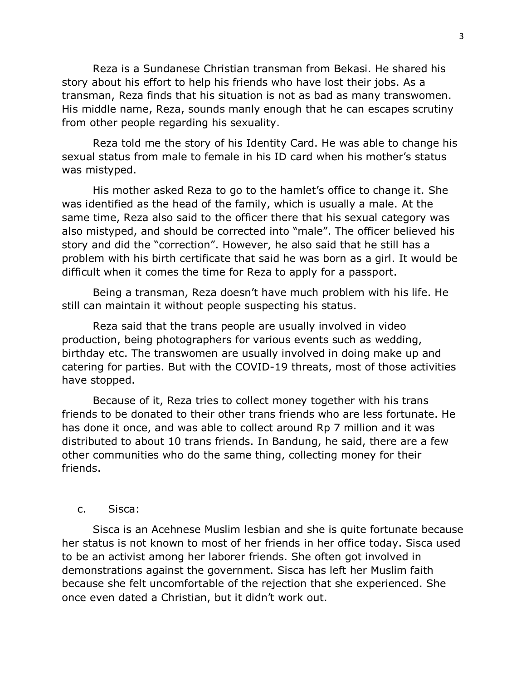Reza is a Sundanese Christian transman from Bekasi. He shared his story about his effort to help his friends who have lost their jobs. As a transman, Reza finds that his situation is not as bad as many transwomen. His middle name, Reza, sounds manly enough that he can escapes scrutiny from other people regarding his sexuality.

Reza told me the story of his Identity Card. He was able to change his sexual status from male to female in his ID card when his mother's status was mistyped.

His mother asked Reza to go to the hamlet's office to change it. She was identified as the head of the family, which is usually a male. At the same time, Reza also said to the officer there that his sexual category was also mistyped, and should be corrected into "male". The officer believed his story and did the "correction". However, he also said that he still has a problem with his birth certificate that said he was born as a girl. It would be difficult when it comes the time for Reza to apply for a passport.

Being a transman, Reza doesn't have much problem with his life. He still can maintain it without people suspecting his status.

Reza said that the trans people are usually involved in video production, being photographers for various events such as wedding, birthday etc. The transwomen are usually involved in doing make up and catering for parties. But with the COVID-19 threats, most of those activities have stopped.

Because of it, Reza tries to collect money together with his trans friends to be donated to their other trans friends who are less fortunate. He has done it once, and was able to collect around Rp 7 million and it was distributed to about 10 trans friends. In Bandung, he said, there are a few other communities who do the same thing, collecting money for their friends.

#### c. Sisca:

Sisca is an Acehnese Muslim lesbian and she is quite fortunate because her status is not known to most of her friends in her office today. Sisca used to be an activist among her laborer friends. She often got involved in demonstrations against the government. Sisca has left her Muslim faith because she felt uncomfortable of the rejection that she experienced. She once even dated a Christian, but it didn't work out.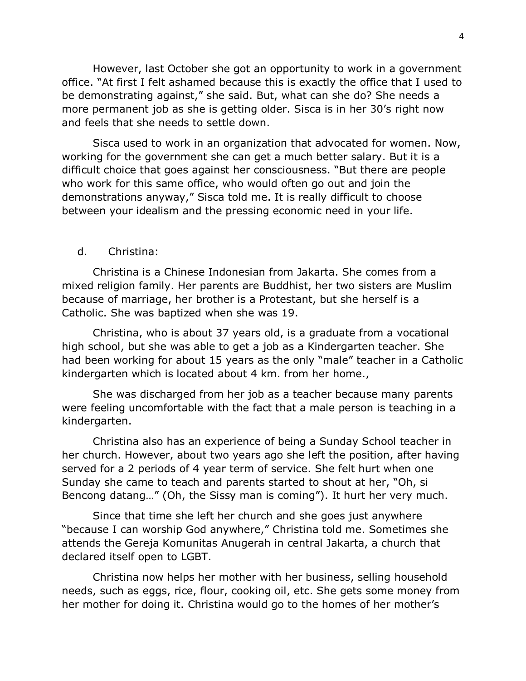However, last October she got an opportunity to work in a government office. "At first I felt ashamed because this is exactly the office that I used to be demonstrating against," she said. But, what can she do? She needs a more permanent job as she is getting older. Sisca is in her 30's right now and feels that she needs to settle down.

Sisca used to work in an organization that advocated for women. Now, working for the government she can get a much better salary. But it is a difficult choice that goes against her consciousness. "But there are people who work for this same office, who would often go out and join the demonstrations anyway," Sisca told me. It is really difficult to choose between your idealism and the pressing economic need in your life.

### d. Christina:

Christina is a Chinese Indonesian from Jakarta. She comes from a mixed religion family. Her parents are Buddhist, her two sisters are Muslim because of marriage, her brother is a Protestant, but she herself is a Catholic. She was baptized when she was 19.

Christina, who is about 37 years old, is a graduate from a vocational high school, but she was able to get a job as a Kindergarten teacher. She had been working for about 15 years as the only "male" teacher in a Catholic kindergarten which is located about 4 km. from her home.,

She was discharged from her job as a teacher because many parents were feeling uncomfortable with the fact that a male person is teaching in a kindergarten.

Christina also has an experience of being a Sunday School teacher in her church. However, about two years ago she left the position, after having served for a 2 periods of 4 year term of service. She felt hurt when one Sunday she came to teach and parents started to shout at her, "Oh, si Bencong datang…" (Oh, the Sissy man is coming"). It hurt her very much.

Since that time she left her church and she goes just anywhere "because I can worship God anywhere," Christina told me. Sometimes she attends the Gereja Komunitas Anugerah in central Jakarta, a church that declared itself open to LGBT.

Christina now helps her mother with her business, selling household needs, such as eggs, rice, flour, cooking oil, etc. She gets some money from her mother for doing it. Christina would go to the homes of her mother's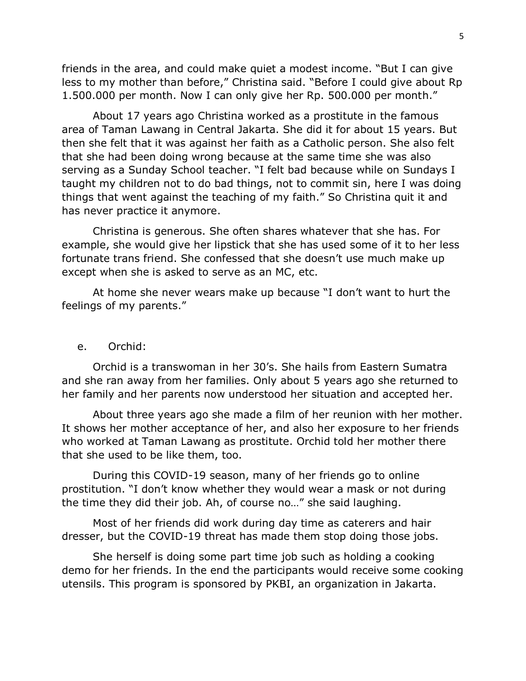friends in the area, and could make quiet a modest income. "But I can give less to my mother than before," Christina said. "Before I could give about Rp 1.500.000 per month. Now I can only give her Rp. 500.000 per month."

About 17 years ago Christina worked as a prostitute in the famous area of Taman Lawang in Central Jakarta. She did it for about 15 years. But then she felt that it was against her faith as a Catholic person. She also felt that she had been doing wrong because at the same time she was also serving as a Sunday School teacher. "I felt bad because while on Sundays I taught my children not to do bad things, not to commit sin, here I was doing things that went against the teaching of my faith." So Christina quit it and has never practice it anymore.

Christina is generous. She often shares whatever that she has. For example, she would give her lipstick that she has used some of it to her less fortunate trans friend. She confessed that she doesn't use much make up except when she is asked to serve as an MC, etc.

At home she never wears make up because "I don't want to hurt the feelings of my parents."

### e. Orchid:

Orchid is a transwoman in her 30's. She hails from Eastern Sumatra and she ran away from her families. Only about 5 years ago she returned to her family and her parents now understood her situation and accepted her.

About three years ago she made a film of her reunion with her mother. It shows her mother acceptance of her, and also her exposure to her friends who worked at Taman Lawang as prostitute. Orchid told her mother there that she used to be like them, too.

During this COVID-19 season, many of her friends go to online prostitution. "I don't know whether they would wear a mask or not during the time they did their job. Ah, of course no…" she said laughing.

Most of her friends did work during day time as caterers and hair dresser, but the COVID-19 threat has made them stop doing those jobs.

She herself is doing some part time job such as holding a cooking demo for her friends. In the end the participants would receive some cooking utensils. This program is sponsored by PKBI, an organization in Jakarta.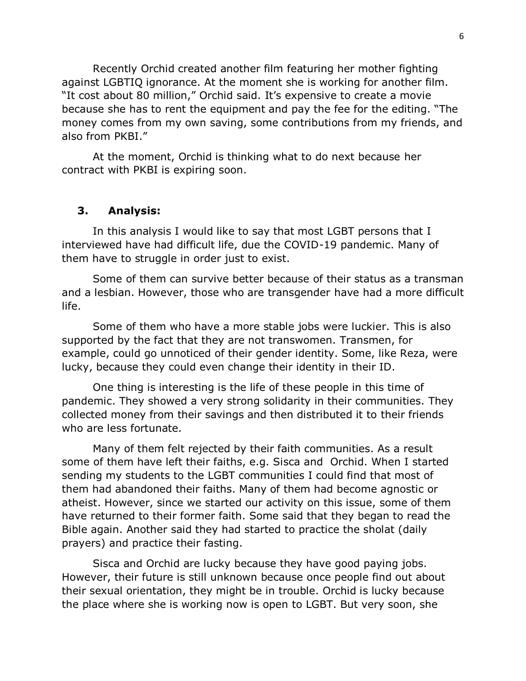Recently Orchid created another film featuring her mother fighting against LGBTIQ ignorance. At the moment she is working for another film. "It cost about 80 million," Orchid said. It's expensive to create a movie because she has to rent the equipment and pay the fee for the editing. "The money comes from my own saving, some contributions from my friends, and also from PKBI."

At the moment, Orchid is thinking what to do next because her contract with PKBI is expiring soon.

### **3. Analysis:**

In this analysis I would like to say that most LGBT persons that I interviewed have had difficult life, due the COVID-19 pandemic. Many of them have to struggle in order just to exist.

Some of them can survive better because of their status as a transman and a lesbian. However, those who are transgender have had a more difficult life.

Some of them who have a more stable jobs were luckier. This is also supported by the fact that they are not transwomen. Transmen, for example, could go unnoticed of their gender identity. Some, like Reza, were lucky, because they could even change their identity in their ID.

One thing is interesting is the life of these people in this time of pandemic. They showed a very strong solidarity in their communities. They collected money from their savings and then distributed it to their friends who are less fortunate.

Many of them felt rejected by their faith communities. As a result some of them have left their faiths, e.g. Sisca and Orchid. When I started sending my students to the LGBT communities I could find that most of them had abandoned their faiths. Many of them had become agnostic or atheist. However, since we started our activity on this issue, some of them have returned to their former faith. Some said that they began to read the Bible again. Another said they had started to practice the sholat (daily prayers) and practice their fasting.

Sisca and Orchid are lucky because they have good paying jobs. However, their future is still unknown because once people find out about their sexual orientation, they might be in trouble. Orchid is lucky because the place where she is working now is open to LGBT. But very soon, she